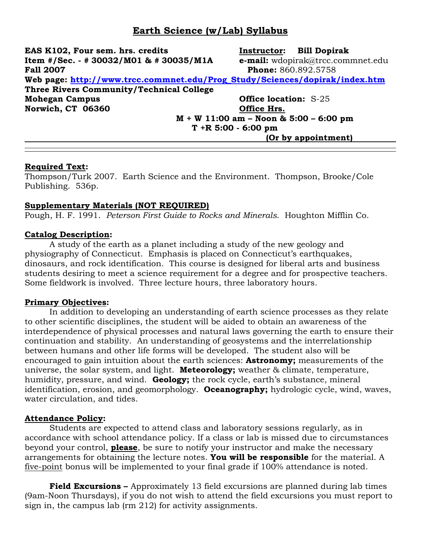# **Earth Science (w/Lab) Syllabus**

**EAS K102, Four sem. hrs. credits Instructor: Bill Dopirak Item #/Sec. - # 30032/M01 & # 30035/M1A e-mail:** wdopirak@trcc.commnet.edu **Fall 2007 Phone:** 860.892.5758 **Web page: [http://www.trcc.commnet.edu/Prog\\_Study/Sciences/dopirak/index.htm](http://www.trcc.commnet.edu/Prog_Study/Sciences/dopirak/index.htm) Three Rivers Community/Technical College Mohegan Campus Office location:** S-25 **Norwich, CT 06360 Office Hrs. M + W 11:00 am – Noon & 5:00 – 6:00 pm**

**T +R 5:00 - 6:00 pm**

**(Or by appointment)**

#### **Required Text:**

Thompson/Turk 2007. Earth Science and the Environment. Thompson, Brooke/Cole Publishing. 536p.

#### **Supplementary Materials (NOT REQUIRED)**

Pough, H. F. 1991. *Peterson First Guide to Rocks and Minerals*. Houghton Mifflin Co.

#### **Catalog Description:**

A study of the earth as a planet including a study of the new geology and physiography of Connecticut. Emphasis is placed on Connecticut's earthquakes, dinosaurs, and rock identification. This course is designed for liberal arts and business students desiring to meet a science requirement for a degree and for prospective teachers. Some fieldwork is involved. Three lecture hours, three laboratory hours.

#### **Primary Objectives:**

In addition to developing an understanding of earth science processes as they relate to other scientific disciplines, the student will be aided to obtain an awareness of the interdependence of physical processes and natural laws governing the earth to ensure their continuation and stability. An understanding of geosystems and the interrelationship between humans and other life forms will be developed. The student also will be encouraged to gain intuition about the earth sciences: **Astronomy;** measurements of the universe, the solar system, and light. **Meteorology;** weather & climate, temperature, humidity, pressure, and wind. **Geology;** the rock cycle, earth's substance, mineral identification, erosion, and geomorphology. **Oceanography;** hydrologic cycle, wind, waves, water circulation, and tides.

#### **Attendance Policy:**

Students are expected to attend class and laboratory sessions regularly, as in accordance with school attendance policy. If a class or lab is missed due to circumstances beyond your control, **please**, be sure to notify your instructor and make the necessary arrangements for obtaining the lecture notes. **You will be responsible** for the material. A five-point bonus will be implemented to your final grade if 100% attendance is noted.

**Field Excursions –** Approximately 13 field excursions are planned during lab times (9am-Noon Thursdays), if you do not wish to attend the field excursions you must report to sign in, the campus lab (rm 212) for activity assignments.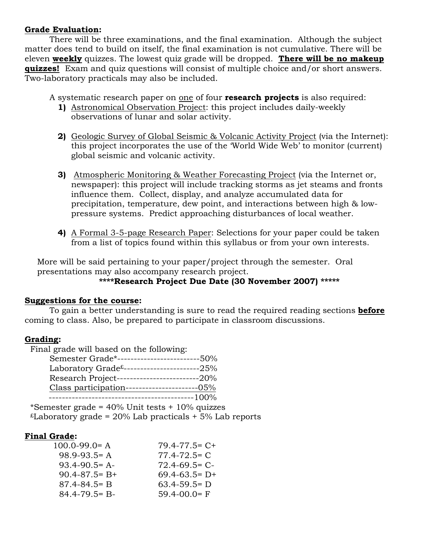#### **Grade Evaluation:**

There will be three examinations, and the final examination. Although the subject matter does tend to build on itself, the final examination is not cumulative. There will be eleven **weekly** quizzes. The lowest quiz grade will be dropped. **There will be no makeup quizzes!** Exam and quiz questions will consist of multiple choice and/or short answers. Two-laboratory practicals may also be included.

A systematic research paper on one of four **research projects** is also required:

- **1)** Astronomical Observation Project: this project includes daily-weekly observations of lunar and solar activity.
- **2)** Geologic Survey of Global Seismic & Volcanic Activity Project (via the Internet): this project incorporates the use of the 'World Wide Web' to monitor (current) global seismic and volcanic activity.
- **3)** Atmospheric Monitoring & Weather Forecasting Project (via the Internet or, newspaper): this project will include tracking storms as jet steams and fronts influence them. Collect, display, and analyze accumulated data for precipitation, temperature, dew point, and interactions between high & lowpressure systems. Predict approaching disturbances of local weather.
- **4)** A Formal 3-5-page Research Paper: Selections for your paper could be taken from a list of topics found within this syllabus or from your own interests.

More will be said pertaining to your paper/project through the semester. Oral presentations may also accompany research project.

## **\*\*\*\*Research Project Due Date (30 November 2007) \*\*\*\*\***

#### **Suggestions for the course:**

To gain a better understanding is sure to read the required reading sections **before** coming to class. Also, be prepared to participate in classroom discussions.

# **Grading:**

| Final grade will based on the following:                                 |       |
|--------------------------------------------------------------------------|-------|
| Semester Grade*-----------------------                                   | -50%  |
| Laboratory Grade <sup><math>£</math></sup> --------------------------25% |       |
| Research Project--------------------------20%                            |       |
| Class participation----------------------05%                             |       |
|                                                                          | -100% |
|                                                                          |       |

\*Semester grade = 40% Unit tests + 10% quizzes  $t$ Laboratory grade = 20% Lab practicals + 5% Lab reports

## **Final Grade:**

| $100.0 - 99.0 = A$  | $79.4 - 77.5 = C +$ |
|---------------------|---------------------|
| $98.9 - 93.5 = A$   | $77.4 - 72.5 = C$   |
| $93.4 - 90.5 = A$   | $72.4 - 69.5 = C$   |
| $90.4 - 87.5 = B +$ | $69.4 - 63.5 = D +$ |
| $87.4 - 84.5 = B$   | $63.4 - 59.5 = D$   |
| $84.4 - 79.5 = B -$ | $59.4 - 00.0 = F$   |
|                     |                     |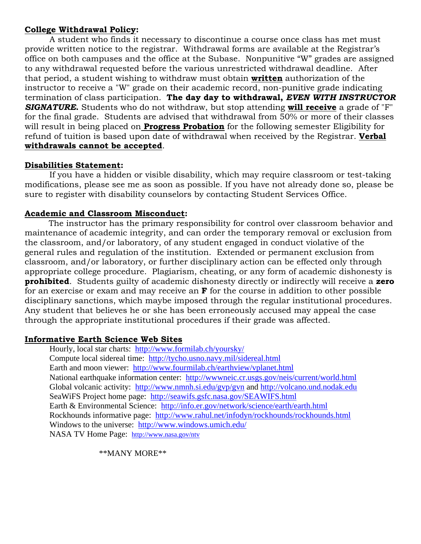#### **College Withdrawal Policy:**

A student who finds it necessary to discontinue a course once class has met must provide written notice to the registrar. Withdrawal forms are available at the Registrar's office on both campuses and the office at the Subase. Nonpunitive "W" grades are assigned to any withdrawal requested before the various unrestricted withdrawal deadline. After that period, a student wishing to withdraw must obtain **written** authorization of the instructor to receive a "W" grade on their academic record, non-punitive grade indicating termination of class participation. **The day day to withdrawal,** *EVEN WITH INSTRUCTOR SIGNATURE***.** Students who do not withdraw, but stop attending **will receive** a grade of "F" for the final grade. Students are advised that withdrawal from 50% or more of their classes will result in being placed on **Progress Probation** for the following semester Eligibility for refund of tuition is based upon date of withdrawal when received by the Registrar. **Verbal withdrawals cannot be accepted**.

#### **Disabilities Statement:**

If you have a hidden or visible disability, which may require classroom or test-taking modifications, please see me as soon as possible. If you have not already done so, please be sure to register with disability counselors by contacting Student Services Office.

#### **Academic and Classroom Misconduct:**

The instructor has the primary responsibility for control over classroom behavior and maintenance of academic integrity, and can order the temporary removal or exclusion from the classroom, and/or laboratory, of any student engaged in conduct violative of the general rules and regulation of the institution. Extended or permanent exclusion from classroom, and/or laboratory, or further disciplinary action can be effected only through appropriate college procedure. Plagiarism, cheating, or any form of academic dishonesty is **prohibited**. Students guilty of academic dishonesty directly or indirectly will receive a **zero** for an exercise or exam and may receive an **F** for the course in addition to other possible disciplinary sanctions, which maybe imposed through the regular institutional procedures. Any student that believes he or she has been erroneously accused may appeal the case through the appropriate institutional procedures if their grade was affected.

#### **Informative Earth Science Web Sites**

Hourly, local star charts: <http://www.formilab.ch/yoursky/> Compute local sidereal time: <http://tycho.usno.navy.mil/sidereal.html> Earth and moon viewer: <http://www.fourmilab.ch/earthview/vplanet.html> National earthquake information center: <http://wwwneic.cr.usgs.gov/neis/current/world.html> Global volcanic activity: <http://www.nmnh.si.edu/gvp/gvn> and [http://volcano.und.nodak.edu](http://volcano.und.nodak.edu/) SeaWiFS Project home page: <http://seawifs.gsfc.nasa.gov/SEAWIFS.html> Earth & Environmental Science: <http://info.er.gov/network/science/earth/earth.html> Rockhounds informative page: <http://www.rahul.net/infodyn/rockhounds/rockhounds.html> Windows to the universe: <http://www.windows.umich.edu/> NASA TV Home Page: <http://www.nasa.gov/ntv>

\*\*MANY MORE\*\*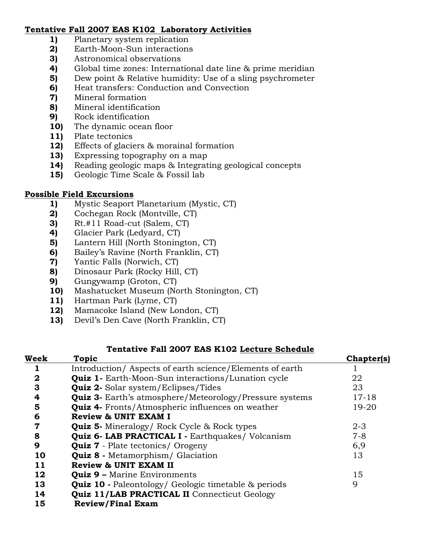## **Tentative Fall 2007 EAS K102 Laboratory Activities**

- **1)** Planetary system replication
- **2)** Earth-Moon-Sun interactions
- **3)** Astronomical observations
- **4)** Global time zones: International date line & prime meridian
- **5)** Dew point & Relative humidity: Use of a sling psychrometer
- **6)** Heat transfers: Conduction and Convection
- **7)** Mineral formation
- **8)** Mineral identification
- **9)** Rock identification
- **10)** The dynamic ocean floor
- **11)** Plate tectonics
- **12)** Effects of glaciers & morainal formation
- **13)** Expressing topography on a map
- **14)** Reading geologic maps & Integrating geological concepts
- **15)** Geologic Time Scale & Fossil lab

#### **Possible Field Excursions**

- **1)** Mystic Seaport Planetarium (Mystic, CT)
- **2)** Cochegan Rock (Montville, CT)
- **3)** Rt.#11 Road-cut (Salem, CT)
- **4)** Glacier Park (Ledyard, CT)
- **5)** Lantern Hill (North Stonington, CT)
- **6)** Bailey's Ravine (North Franklin, CT)
- **7)** Yantic Falls (Norwich, CT)
- **8)** Dinosaur Park (Rocky Hill, CT)
- **9)** Gungywamp (Groton, CT)
- **10)** Mashatucket Museum (North Stonington, CT)
- **11)** Hartman Park (Lyme, CT)
- **12)** Mamacoke Island (New London, CT)
- **13)** Devil's Den Cave (North Franklin, CT)

#### **Tentative Fall 2007 EAS K102 Lecture Schedule**

| 22                                                                          |
|-----------------------------------------------------------------------------|
| 23                                                                          |
| <b>Quiz 3-</b> Earth's atmosphere/Meteorology/Pressure systems<br>$17 - 18$ |
| $19 - 20$                                                                   |
|                                                                             |
| $2 - 3$                                                                     |
| $7 - 8$                                                                     |
| 6,9                                                                         |
| 13                                                                          |
|                                                                             |
| 15                                                                          |
| 9                                                                           |
|                                                                             |
|                                                                             |
|                                                                             |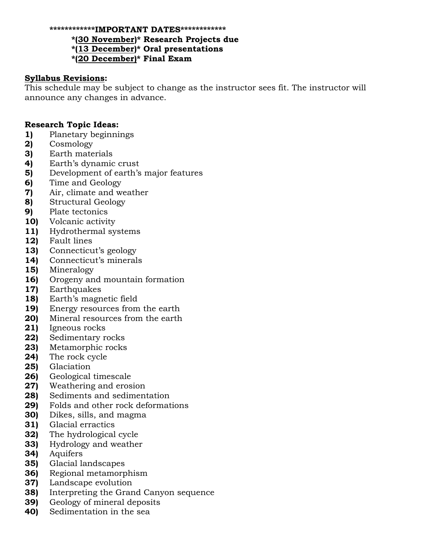#### **\*\*\*\*\*\*\*\*\*\*\*\*IMPORTANT DATES\*\*\*\*\*\*\*\*\*\*\*\***

**\*(30 November)\* Research Projects due**

**\*(13 December)\* Oral presentations**

**\*(20 December)\* Final Exam**

#### **Syllabus Revisions:**

This schedule may be subject to change as the instructor sees fit. The instructor will announce any changes in advance.

#### **Research Topic Ideas:**

- **1)** Planetary beginnings
- **2)** Cosmology
- **3)** Earth materials
- **4)** Earth's dynamic crust
- **5)** Development of earth's major features
- **6)** Time and Geology
- **7)** Air, climate and weather
- **8)** Structural Geology
- **9)** Plate tectonics
- **10)** Volcanic activity
- **11)** Hydrothermal systems
- **12)** Fault lines
- **13)** Connecticut's geology
- **14)** Connecticut's minerals
- **15)** Mineralogy
- **16)** Orogeny and mountain formation
- **17)** Earthquakes
- **18)** Earth's magnetic field
- **19)** Energy resources from the earth
- **20)** Mineral resources from the earth
- **21)** Igneous rocks
- **22)** Sedimentary rocks
- **23)** Metamorphic rocks
- **24)** The rock cycle
- **25)** Glaciation
- **26)** Geological timescale
- **27)** Weathering and erosion
- **28)** Sediments and sedimentation
- **29)** Folds and other rock deformations
- **30)** Dikes, sills, and magma
- **31)** Glacial erractics
- **32)** The hydrological cycle
- **33)** Hydrology and weather
- **34)** Aquifers
- **35)** Glacial landscapes
- **36)** Regional metamorphism
- **37)** Landscape evolution
- **38)** Interpreting the Grand Canyon sequence
- **39)** Geology of mineral deposits
- **40)** Sedimentation in the sea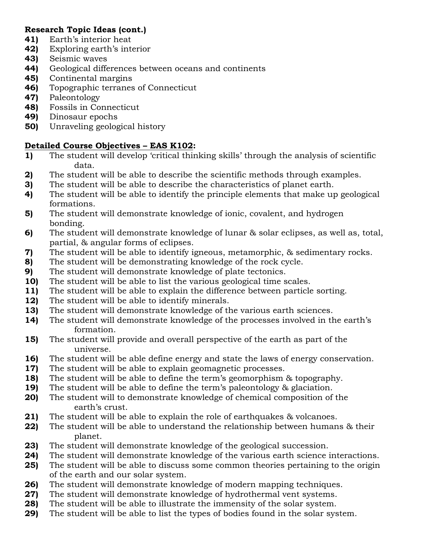# **Research Topic Ideas (cont.)**

- **41)** Earth's interior heat
- **42)** Exploring earth's interior
- **43)** Seismic waves
- **44)** Geological differences between oceans and continents
- **45)** Continental margins
- **46)** Topographic terranes of Connecticut
- **47)** Paleontology
- **48)** Fossils in Connecticut
- **49)** Dinosaur epochs
- **50)** Unraveling geological history

# **Detailed Course Objectives – EAS K102:**

- **1)** The student will develop 'critical thinking skills' through the analysis of scientific data.
- **2)** The student will be able to describe the scientific methods through examples.
- **3)** The student will be able to describe the characteristics of planet earth.
- **4)** The student will be able to identify the principle elements that make up geological formations.
- **5)** The student will demonstrate knowledge of ionic, covalent, and hydrogen bonding.
- **6)** The student will demonstrate knowledge of lunar & solar eclipses, as well as, total, partial, & angular forms of eclipses.
- **7)** The student will be able to identify igneous, metamorphic, & sedimentary rocks.
- **8)** The student will be demonstrating knowledge of the rock cycle.
- **9)** The student will demonstrate knowledge of plate tectonics.
- **10)** The student will be able to list the various geological time scales.
- **11)** The student will be able to explain the difference between particle sorting.
- **12)** The student will be able to identify minerals.
- **13)** The student will demonstrate knowledge of the various earth sciences.
- **14)** The student will demonstrate knowledge of the processes involved in the earth's formation.
- **15)** The student will provide and overall perspective of the earth as part of the universe.
- **16)** The student will be able define energy and state the laws of energy conservation.
- **17)** The student will be able to explain geomagnetic processes.
- **18)** The student will be able to define the term's geomorphism & topography.
- **19)** The student will be able to define the term's paleontology & glaciation.
- **20)** The student will to demonstrate knowledge of chemical composition of the earth's crust.
- **21)** The student will be able to explain the role of earthquakes & volcanoes.
- **22)** The student will be able to understand the relationship between humans & their planet.
- **23)** The student will demonstrate knowledge of the geological succession.
- **24)** The student will demonstrate knowledge of the various earth science interactions.
- **25)** The student will be able to discuss some common theories pertaining to the origin of the earth and our solar system.
- **26)** The student will demonstrate knowledge of modern mapping techniques.
- **27)** The student will demonstrate knowledge of hydrothermal vent systems.
- **28)** The student will be able to illustrate the immensity of the solar system.
- **29)** The student will be able to list the types of bodies found in the solar system.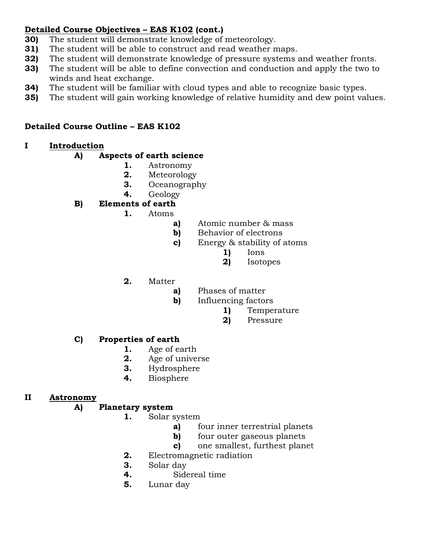# **Detailed Course Objectives – EAS K102 (cont.)**

- **30)** The student will demonstrate knowledge of meteorology.
- **31)** The student will be able to construct and read weather maps.
- **32)** The student will demonstrate knowledge of pressure systems and weather fronts.
- **33)** The student will be able to define convection and conduction and apply the two to winds and heat exchange.
- **34)** The student will be familiar with cloud types and able to recognize basic types.
- **35)** The student will gain working knowledge of relative humidity and dew point values.

# **Detailed Course Outline – EAS K102**

# **I Introduction**

## **A) Aspects of earth science**

- **1.** Astronomy
- **2.** Meteorology
- **3.** Oceanography
- **4.** Geology

# **B) Elements of earth**

- **1.** Atoms
	- **a)** Atomic number & mass
	- **b)** Behavior of electrons
	- **c)** Energy & stability of atoms
		- **1)** Ions
		- **2)** Isotopes
- **2.** Matter
	- **a)** Phases of matter
	- **b)** Influencing factors
		- **1)** Temperature
		- **2)** Pressure

## **C) Properties of earth**

- **1.** Age of earth
- **2.** Age of universe
- **3.** Hydrosphere
- **4.** Biosphere

## **II Astronomy**

## **A) Planetary system**

- **1.** Solar system
	- **a)** four inner terrestrial planets
	- **b)** four outer gaseous planets
	- **c)** one smallest, furthest planet
	- **2.** Electromagnetic radiation
	- **3.** Solar day
	- **4.** Sidereal time
	- **5.** Lunar day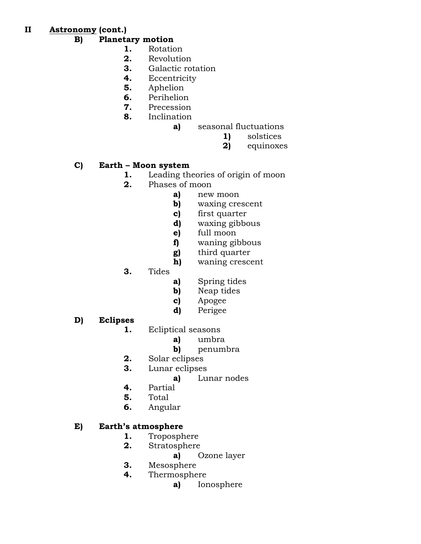**II Astronomy (cont.)**

### **B) Planetary motion**

- **1.** Rotation
- **2.** Revolution
- **3.** Galactic rotation
- **4.** Eccentricity
- **5.** Aphelion
- **6.** Perihelion
- **7.** Precession
- **8.** Inclination
	- **a)** seasonal fluctuations
		- **1)** solstices
		- **2)** equinoxes

## **C) Earth – Moon system**

- **1.** Leading theories of origin of moon
- **2.** Phases of moon
	- **a)** new moon
	- **b)** waxing crescent
	- **c)** first quarter
	- **d)** waxing gibbous
	- **e)** full moon
	- **f)** waning gibbous
	- **g)** third quarter
	- **h)** waning crescent
- **3.** Tides
- **a)** Spring tides
- **b)** Neap tides
- **c)** Apogee
- **d)** Perigee
- **D) Eclipses**
	- **1.** Ecliptical seasons
		- **a)** umbra
		- **b)** penumbra
	- **2.** Solar eclipses
	- **3.** Lunar eclipses
		- **a)** Lunar nodes
	- **4.** Partial
	- **5.** Total
	- **6.** Angular

## **E) Earth's atmosphere**

- **1.** Troposphere
- **2.** Stratosphere
	- **a)** Ozone layer
- **3.** Mesosphere
- **4.** Thermosphere
	- **a)** Ionosphere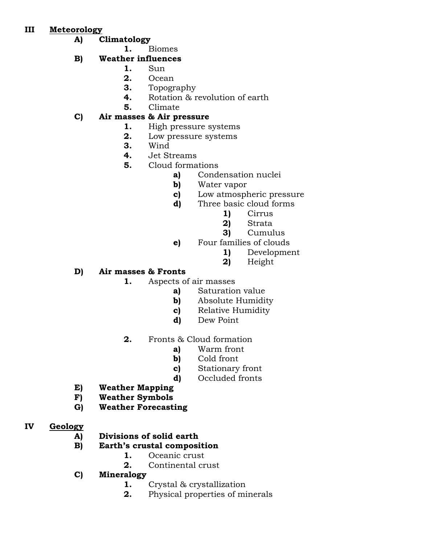## **III Meteorology**

- **A) Climatology**
	- **1.** Biomes

# **B) Weather influences**

- **1.** Sun
- **2.** Ocean
- **3.** Topography
- **4.** Rotation & revolution of earth
- **5.** Climate

# **C) Air masses & Air pressure**

- **1.** High pressure systems
- **2.** Low pressure systems
- **3.** Wind
- **4.** Jet Streams
- **5.** Cloud formations
	- **a)** Condensation nuclei
	- **b)** Water vapor
	- **c)** Low atmospheric pressure
	- **d)** Three basic cloud forms
		- **1)** Cirrus
		- **2)** Strata
		- **3)** Cumulus
	- **e)** Four families of clouds
		- **1)** Development
		- **2)** Height

# **D) Air masses & Fronts**

- **1.** Aspects of air masses
	- **a)** Saturation value
	- **b)** Absolute Humidity
	- **c)** Relative Humidity
	- **d)** Dew Point
- **2.** Fronts & Cloud formation
	- **a)** Warm front
	- **b)** Cold front
	- **c)** Stationary front
	- **d)** Occluded fronts
- **E) Weather Mapping**
- **F) Weather Symbols**
- **G) Weather Forecasting**
- **IV Geology**
	- **A) Divisions of solid earth**
	- **B) Earth's crustal composition**
		- **1.** Oceanic crust
		- **2.** Continental crust
	- **C) Mineralogy** 
		- **1.** Crystal & crystallization
			- **2.** Physical properties of minerals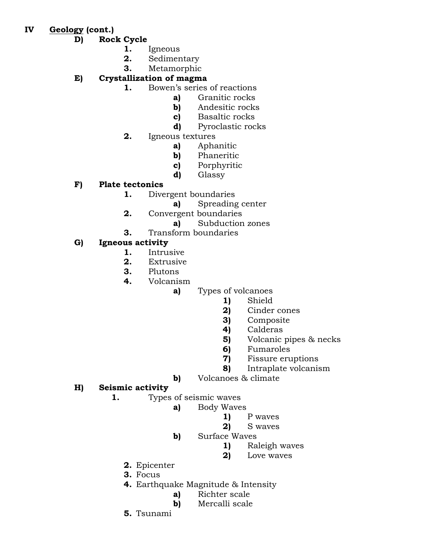- **IV Geology (cont.)**
	- **D) Rock Cycle**
		- **1.** Igneous
		- **2.** Sedimentary
		- **3.** Metamorphic
	- **E) Crystallization of magma**
		- **1.** Bowen's series of reactions
			- **a)** Granitic rocks
			- **b)** Andesitic rocks
			- **c)** Basaltic rocks
			- **d)** Pyroclastic rocks
		- **2.** Igneous textures
			- **a)** Aphanitic
			- **b)** Phaneritic
			- **c)** Porphyritic
			- **d)** Glassy

# **F) Plate tectonics**

- **1.** Divergent boundaries
	- **a)** Spreading center
- **2.** Convergent boundaries
	- **a)** Subduction zones
- **3.** Transform boundaries

# **G) Igneous activity**

- **1.** Intrusive
- **2.** Extrusive
- **3.** Plutons
- **4.** Volcanism
	- **a)** Types of volcanoes
		- **1)** Shield
		- **2)** Cinder cones
		- **3)** Composite
		- **4)** Calderas
		- **5)** Volcanic pipes & necks
		- **6)** Fumaroles
		- **7)** Fissure eruptions
		- **8)** Intraplate volcanism
	- **b)** Volcanoes & climate

# **H) Seismic activity**

- **1.** Types of seismic waves
	- **a)** Body Waves
		- **1)** P waves
		- **2)** S waves
	- **b)** Surface Waves
		- **1)** Raleigh waves
		- **2)** Love waves
	- **2.** Epicenter
	- **3.** Focus
	- **4.** Earthquake Magnitude & Intensity
		- **a)** Richter scale
		- **b)** Mercalli scale
	- **5.** Tsunami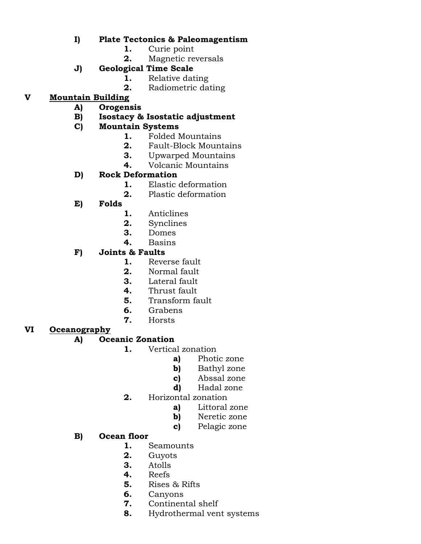### **I) Plate Tectonics & Paleomagentism**

- **1.** Curie point
- **2.** Magnetic reversals
- **J) Geological Time Scale**
	- **1.** Relative dating
	- **2.** Radiometric dating

# **V Mountain Building**

- **A) Orogensis**
- **B) Isostacy & Isostatic adjustment**

## **C) Mountain Systems**

- **1.** Folded Mountains
- **2.** Fault-Block Mountains
- **3.** Upwarped Mountains
- **4.** Volcanic Mountains

## **D) Rock Deformation**

- **1.** Elastic deformation
- **2.** Plastic deformation
- **E) Folds**
	- **1.** Anticlines
	- **2.** Synclines
	- **3.** Domes
	- **4.** Basins

## **F) Joints & Faults**

- **1.** Reverse fault
- **2.** Normal fault
- **3.** Lateral fault
- **4.** Thrust fault
- **5.** Transform fault
- **6.** Grabens
- **7.** Horsts

#### **VI Oceanography**

## **A) Oceanic Zonation**

- **1.** Vertical zonation
	- **a)** Photic zone
	- **b)** Bathyl zone
	- **c)** Abssal zone
	- **d)** Hadal zone
	- **2.** Horizontal zonation
		- **a)** Littoral zone
		- **b)** Neretic zone
		- **c)** Pelagic zone

## **B) Ocean floor**

- **1.** Seamounts
- **2.** Guyots
- **3.** Atolls
- **4.** Reefs
- **5.** Rises & Rifts
- **6.** Canyons
- **7.** Continental shelf
- **8.** Hydrothermal vent systems